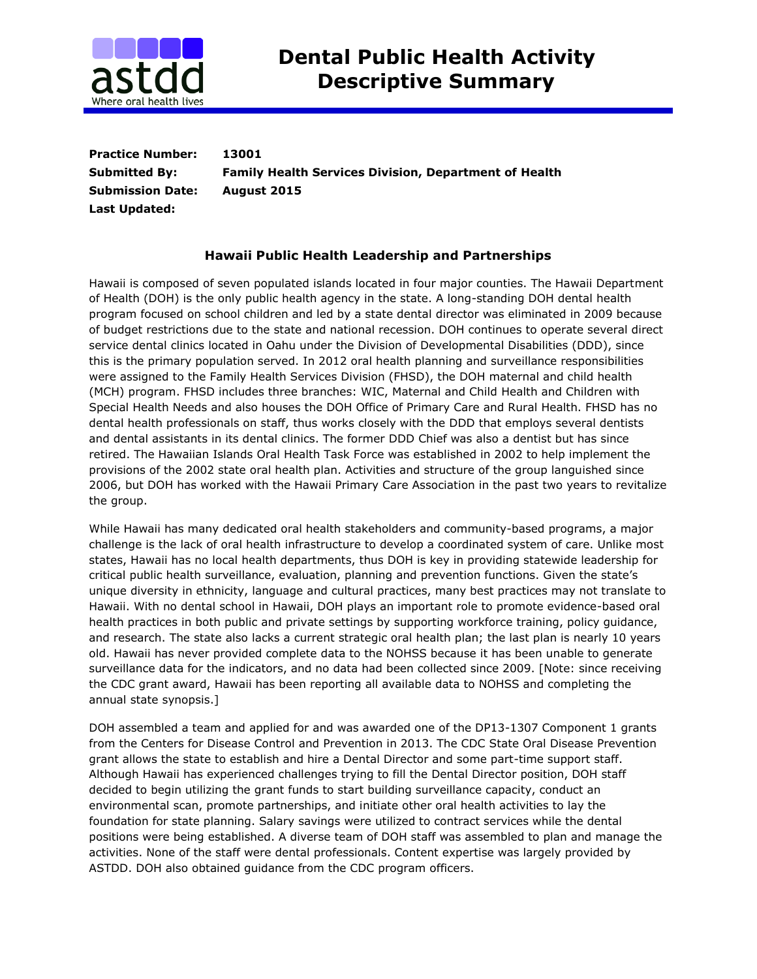

**Practice Number: 13001 Submitted By: Family Health Services Division, Department of Health Submission Date: August 2015 Last Updated:** 

## **Hawaii Public Health Leadership and Partnerships**

Hawaii is composed of seven populated islands located in four major counties. The Hawaii Department of Health (DOH) is the only public health agency in the state. A long-standing DOH dental health program focused on school children and led by a state dental director was eliminated in 2009 because of budget restrictions due to the state and national recession. DOH continues to operate several direct service dental clinics located in Oahu under the Division of Developmental Disabilities (DDD), since this is the primary population served. In 2012 oral health planning and surveillance responsibilities were assigned to the Family Health Services Division (FHSD), the DOH maternal and child health (MCH) program. FHSD includes three branches: WIC, Maternal and Child Health and Children with Special Health Needs and also houses the DOH Office of Primary Care and Rural Health. FHSD has no dental health professionals on staff, thus works closely with the DDD that employs several dentists and dental assistants in its dental clinics. The former DDD Chief was also a dentist but has since retired. The Hawaiian Islands Oral Health Task Force was established in 2002 to help implement the provisions of the 2002 state oral health plan. Activities and structure of the group languished since 2006, but DOH has worked with the Hawaii Primary Care Association in the past two years to revitalize the group.

While Hawaii has many dedicated oral health stakeholders and community-based programs, a major challenge is the lack of oral health infrastructure to develop a coordinated system of care. Unlike most states, Hawaii has no local health departments, thus DOH is key in providing statewide leadership for critical public health surveillance, evaluation, planning and prevention functions. Given the state's unique diversity in ethnicity, language and cultural practices, many best practices may not translate to Hawaii. With no dental school in Hawaii, DOH plays an important role to promote evidence-based oral health practices in both public and private settings by supporting workforce training, policy guidance, and research. The state also lacks a current strategic oral health plan; the last plan is nearly 10 years old. Hawaii has never provided complete data to the NOHSS because it has been unable to generate surveillance data for the indicators, and no data had been collected since 2009. [Note: since receiving the CDC grant award, Hawaii has been reporting all available data to NOHSS and completing the annual state synopsis.]

DOH assembled a team and applied for and was awarded one of the DP13-1307 Component 1 grants from the Centers for Disease Control and Prevention in 2013. The CDC State Oral Disease Prevention grant allows the state to establish and hire a Dental Director and some part-time support staff. Although Hawaii has experienced challenges trying to fill the Dental Director position, DOH staff decided to begin utilizing the grant funds to start building surveillance capacity, conduct an environmental scan, promote partnerships, and initiate other oral health activities to lay the foundation for state planning. Salary savings were utilized to contract services while the dental positions were being established. A diverse team of DOH staff was assembled to plan and manage the activities. None of the staff were dental professionals. Content expertise was largely provided by ASTDD. DOH also obtained guidance from the CDC program officers.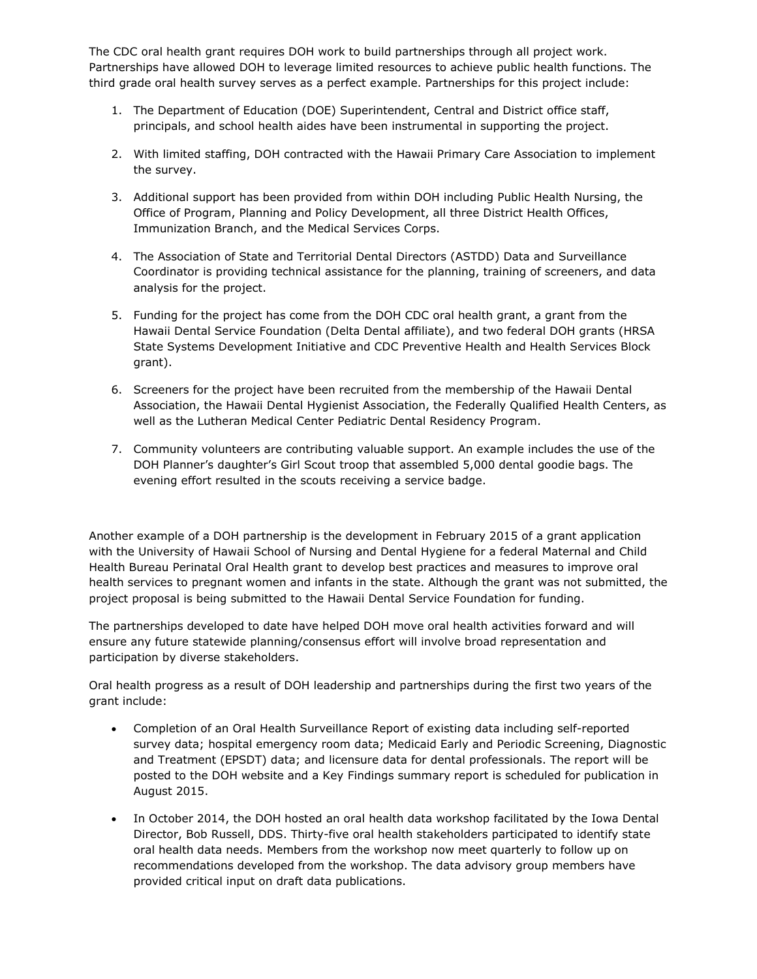The CDC oral health grant requires DOH work to build partnerships through all project work. Partnerships have allowed DOH to leverage limited resources to achieve public health functions. The third grade oral health survey serves as a perfect example. Partnerships for this project include:

- 1. The Department of Education (DOE) Superintendent, Central and District office staff, principals, and school health aides have been instrumental in supporting the project.
- 2. With limited staffing, DOH contracted with the Hawaii Primary Care Association to implement the survey.
- 3. Additional support has been provided from within DOH including Public Health Nursing, the Office of Program, Planning and Policy Development, all three District Health Offices, Immunization Branch, and the Medical Services Corps.
- 4. The Association of State and Territorial Dental Directors (ASTDD) Data and Surveillance Coordinator is providing technical assistance for the planning, training of screeners, and data analysis for the project.
- 5. Funding for the project has come from the DOH CDC oral health grant, a grant from the Hawaii Dental Service Foundation (Delta Dental affiliate), and two federal DOH grants (HRSA State Systems Development Initiative and CDC Preventive Health and Health Services Block grant).
- 6. Screeners for the project have been recruited from the membership of the Hawaii Dental Association, the Hawaii Dental Hygienist Association, the Federally Qualified Health Centers, as well as the Lutheran Medical Center Pediatric Dental Residency Program.
- 7. Community volunteers are contributing valuable support. An example includes the use of the DOH Planner's daughter's Girl Scout troop that assembled 5,000 dental goodie bags. The evening effort resulted in the scouts receiving a service badge.

Another example of a DOH partnership is the development in February 2015 of a grant application with the University of Hawaii School of Nursing and Dental Hygiene for a federal Maternal and Child Health Bureau Perinatal Oral Health grant to develop best practices and measures to improve oral health services to pregnant women and infants in the state. Although the grant was not submitted, the project proposal is being submitted to the Hawaii Dental Service Foundation for funding.

The partnerships developed to date have helped DOH move oral health activities forward and will ensure any future statewide planning/consensus effort will involve broad representation and participation by diverse stakeholders.

Oral health progress as a result of DOH leadership and partnerships during the first two years of the grant include:

- Completion of an Oral Health Surveillance Report of existing data including self-reported survey data; hospital emergency room data; Medicaid Early and Periodic Screening, Diagnostic and Treatment (EPSDT) data; and licensure data for dental professionals. The report will be posted to the DOH website and a Key Findings summary report is scheduled for publication in August 2015.
- In October 2014, the DOH hosted an oral health data workshop facilitated by the Iowa Dental Director, Bob Russell, DDS. Thirty-five oral health stakeholders participated to identify state oral health data needs. Members from the workshop now meet quarterly to follow up on recommendations developed from the workshop. The data advisory group members have provided critical input on draft data publications.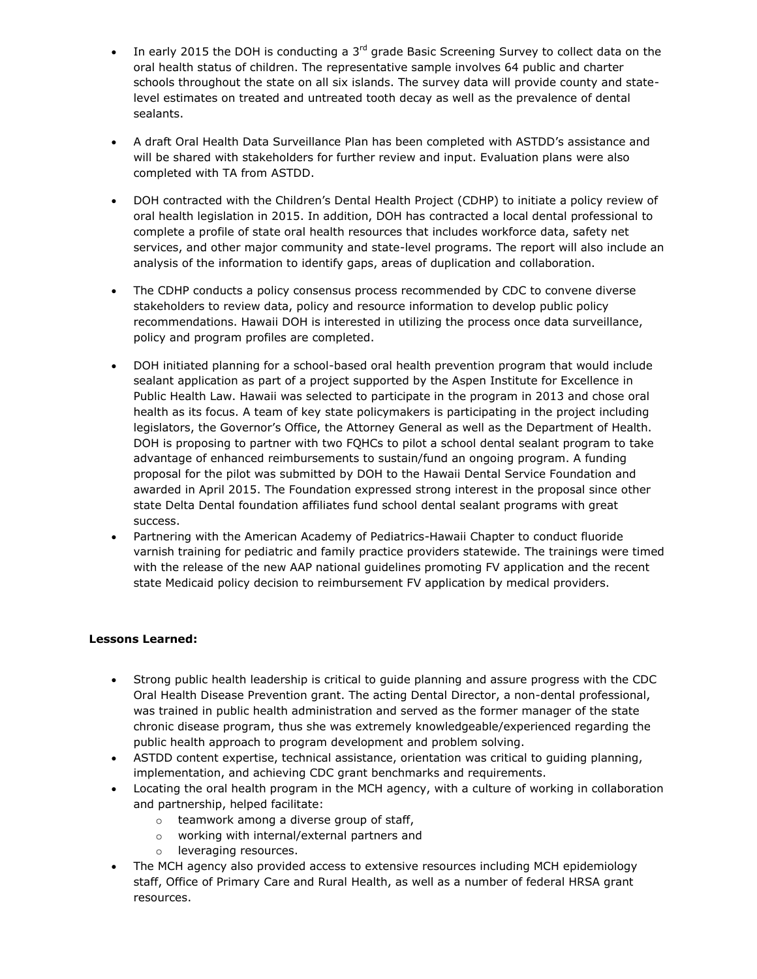- In early 2015 the DOH is conducting a 3<sup>rd</sup> grade Basic Screening Survey to collect data on the oral health status of children. The representative sample involves 64 public and charter schools throughout the state on all six islands. The survey data will provide county and statelevel estimates on treated and untreated tooth decay as well as the prevalence of dental sealants.
- A draft Oral Health Data Surveillance Plan has been completed with ASTDD's assistance and will be shared with stakeholders for further review and input. Evaluation plans were also completed with TA from ASTDD.
- DOH contracted with the Children's Dental Health Project (CDHP) to initiate a policy review of oral health legislation in 2015. In addition, DOH has contracted a local dental professional to complete a profile of state oral health resources that includes workforce data, safety net services, and other major community and state-level programs. The report will also include an analysis of the information to identify gaps, areas of duplication and collaboration.
- The CDHP conducts a policy consensus process recommended by CDC to convene diverse stakeholders to review data, policy and resource information to develop public policy recommendations. Hawaii DOH is interested in utilizing the process once data surveillance, policy and program profiles are completed.
- DOH initiated planning for a school-based oral health prevention program that would include sealant application as part of a project supported by the Aspen Institute for Excellence in Public Health Law. Hawaii was selected to participate in the program in 2013 and chose oral health as its focus. A team of key state policymakers is participating in the project including legislators, the Governor's Office, the Attorney General as well as the Department of Health. DOH is proposing to partner with two FQHCs to pilot a school dental sealant program to take advantage of enhanced reimbursements to sustain/fund an ongoing program. A funding proposal for the pilot was submitted by DOH to the Hawaii Dental Service Foundation and awarded in April 2015. The Foundation expressed strong interest in the proposal since other state Delta Dental foundation affiliates fund school dental sealant programs with great success.
- Partnering with the American Academy of Pediatrics-Hawaii Chapter to conduct fluoride varnish training for pediatric and family practice providers statewide. The trainings were timed with the release of the new AAP national guidelines promoting FV application and the recent state Medicaid policy decision to reimbursement FV application by medical providers.

## **Lessons Learned:**

- Strong public health leadership is critical to guide planning and assure progress with the CDC Oral Health Disease Prevention grant. The acting Dental Director, a non-dental professional, was trained in public health administration and served as the former manager of the state chronic disease program, thus she was extremely knowledgeable/experienced regarding the public health approach to program development and problem solving.
- ASTDD content expertise, technical assistance, orientation was critical to guiding planning, implementation, and achieving CDC grant benchmarks and requirements.
- Locating the oral health program in the MCH agency, with a culture of working in collaboration and partnership, helped facilitate:
	- o teamwork among a diverse group of staff,
	- o working with internal/external partners and
	- o leveraging resources.
- The MCH agency also provided access to extensive resources including MCH epidemiology staff, Office of Primary Care and Rural Health, as well as a number of federal HRSA grant resources.